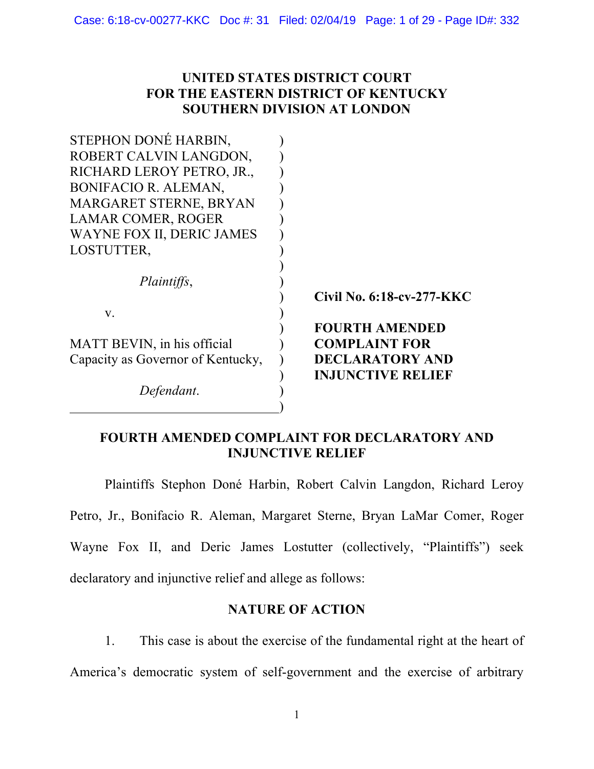### **UNITED STATES DISTRICT COURT FOR THE EASTERN DISTRICT OF KENTUCKY SOUTHERN DIVISION AT LONDON**

| STEPHON DONE HARBIN,              |                           |
|-----------------------------------|---------------------------|
| ROBERT CALVIN LANGDON,            |                           |
| RICHARD LEROY PETRO, JR.,         |                           |
| <b>BONIFACIO R. ALEMAN,</b>       |                           |
| MARGARET STERNE, BRYAN            |                           |
| <b>LAMAR COMER, ROGER</b>         |                           |
| WAYNE FOX II, DERIC JAMES         |                           |
| LOSTUTTER,                        |                           |
|                                   |                           |
| <i>Plaintiffs,</i>                |                           |
|                                   | Civil No. 6:18-cv-277-KKC |
| $V_{\cdot}$                       |                           |
|                                   | <b>FOURTH AMENDED</b>     |
| MATT BEVIN, in his official       | <b>COMPLAINT FOR</b>      |
| Capacity as Governor of Kentucky, | <b>DECLARATORY AND</b>    |
|                                   | <b>INJUNCTIVE RELIEF</b>  |
| Defendant.                        |                           |
|                                   |                           |

## **FOURTH AMENDED COMPLAINT FOR DECLARATORY AND INJUNCTIVE RELIEF**

Plaintiffs Stephon Doné Harbin, Robert Calvin Langdon, Richard Leroy Petro, Jr., Bonifacio R. Aleman, Margaret Sterne, Bryan LaMar Comer, Roger Wayne Fox II, and Deric James Lostutter (collectively, "Plaintiffs") seek declaratory and injunctive relief and allege as follows:

## **NATURE OF ACTION**

1. This case is about the exercise of the fundamental right at the heart of America's democratic system of self-government and the exercise of arbitrary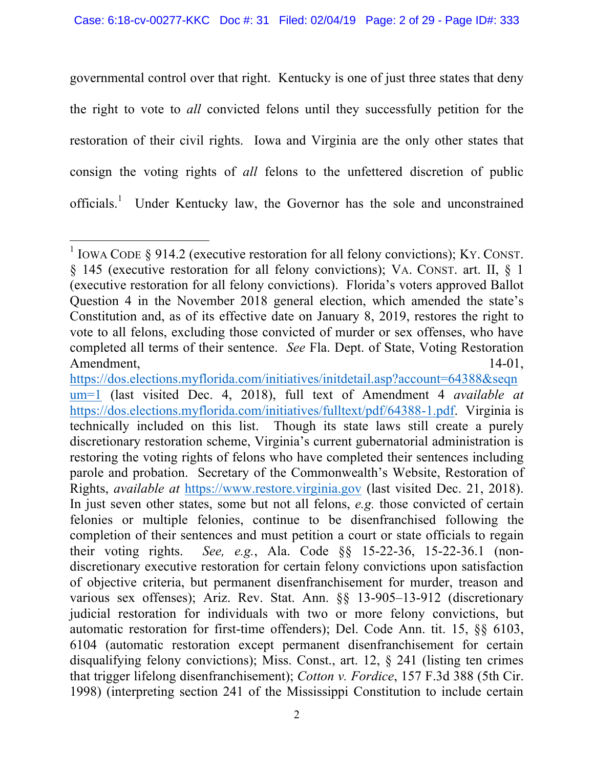governmental control over that right. Kentucky is one of just three states that deny the right to vote to *all* convicted felons until they successfully petition for the restoration of their civil rights. Iowa and Virginia are the only other states that consign the voting rights of *all* felons to the unfettered discretion of public officials.<sup>1</sup> Under Kentucky law, the Governor has the sole and unconstrained

<sup>&</sup>lt;u> 1989 - Johann Stein, markin film yn y breninn y breninn y breninn y breninn y breninn y breninn y breninn y b</u> <sup>1</sup> IOWA CODE  $\frac{1}{2}$  914.2 (executive restoration for all felony convictions); KY. CONST. § 145 (executive restoration for all felony convictions); VA. CONST. art. II, § 1 (executive restoration for all felony convictions). Florida's voters approved Ballot Question 4 in the November 2018 general election, which amended the state's Constitution and, as of its effective date on January 8, 2019, restores the right to vote to all felons, excluding those convicted of murder or sex offenses, who have completed all terms of their sentence. *See* Fla. Dept. of State, Voting Restoration Amendment, 14-01,

https://dos.elections.myflorida.com/initiatives/initdetail.asp?account=64388&seqn um=1 (last visited Dec. 4, 2018), full text of Amendment 4 *available at* https://dos.elections.myflorida.com/initiatives/fulltext/pdf/64388-1.pdf. Virginia is technically included on this list. Though its state laws still create a purely discretionary restoration scheme, Virginia's current gubernatorial administration is restoring the voting rights of felons who have completed their sentences including parole and probation. Secretary of the Commonwealth's Website, Restoration of Rights, *available at* https://www.restore.virginia.gov (last visited Dec. 21, 2018). In just seven other states, some but not all felons, *e.g.* those convicted of certain felonies or multiple felonies, continue to be disenfranchised following the completion of their sentences and must petition a court or state officials to regain their voting rights. *See, e.g.*, Ala. Code §§ 15-22-36, 15-22-36.1 (nondiscretionary executive restoration for certain felony convictions upon satisfaction of objective criteria, but permanent disenfranchisement for murder, treason and various sex offenses); Ariz. Rev. Stat. Ann.  $\S$  13-905-13-912 (discretionary judicial restoration for individuals with two or more felony convictions, but automatic restoration for first-time offenders); Del. Code Ann. tit. 15, §§ 6103, 6104 (automatic restoration except permanent disenfranchisement for certain disqualifying felony convictions); Miss. Const., art. 12, § 241 (listing ten crimes that trigger lifelong disenfranchisement); *Cotton v. Fordice*, 157 F.3d 388 (5th Cir. 1998) (interpreting section 241 of the Mississippi Constitution to include certain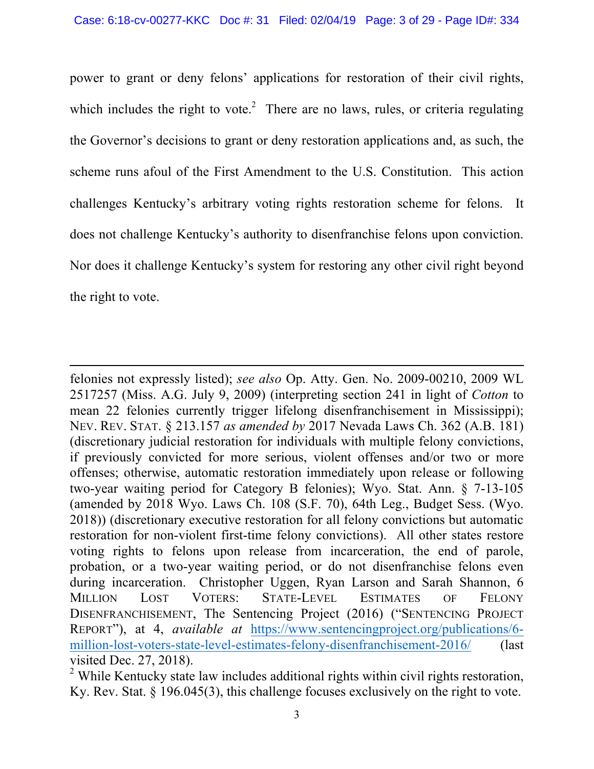power to grant or deny felons' applications for restoration of their civil rights, which includes the right to vote. $2$  There are no laws, rules, or criteria regulating the Governor's decisions to grant or deny restoration applications and, as such, the scheme runs afoul of the First Amendment to the U.S. Constitution. This action challenges Kentucky's arbitrary voting rights restoration scheme for felons. It does not challenge Kentucky's authority to disenfranchise felons upon conviction. Nor does it challenge Kentucky's system for restoring any other civil right beyond the right to vote.

<u> 1989 - Andrea Santa Andrea Andrea Andrea Andrea Andrea Andrea Andrea Andrea Andrea Andrea Andrea Andrea Andr</u>

felonies not expressly listed); *see also* Op. Atty. Gen. No. 2009-00210, 2009 WL 2517257 (Miss. A.G. July 9, 2009) (interpreting section 241 in light of *Cotton* to mean 22 felonies currently trigger lifelong disenfranchisement in Mississippi); NEV. REV. STAT. § 213.157 *as amended by* 2017 Nevada Laws Ch. 362 (A.B. 181) (discretionary judicial restoration for individuals with multiple felony convictions, if previously convicted for more serious, violent offenses and/or two or more offenses; otherwise, automatic restoration immediately upon release or following two-year waiting period for Category B felonies); Wyo. Stat. Ann. § 7-13-105 (amended by 2018 Wyo. Laws Ch. 108 (S.F. 70), 64th Leg., Budget Sess. (Wyo. 2018)) (discretionary executive restoration for all felony convictions but automatic restoration for non-violent first-time felony convictions). All other states restore voting rights to felons upon release from incarceration, the end of parole, probation, or a two-year waiting period, or do not disenfranchise felons even during incarceration. Christopher Uggen, Ryan Larson and Sarah Shannon, 6 MILLION LOST VOTERS: STATE-LEVEL ESTIMATES OF FELONY DISENFRANCHISEMENT, The Sentencing Project (2016) ("SENTENCING PROJECT REPORT"), at 4, *available at* https://www.sentencingproject.org/publications/6 million-lost-voters-state-level-estimates-felony-disenfranchisement-2016/ (last visited Dec. 27, 2018).

<sup>&</sup>lt;sup>2</sup> While Kentucky state law includes additional rights within civil rights restoration, Ky. Rev. Stat. § 196.045(3), this challenge focuses exclusively on the right to vote.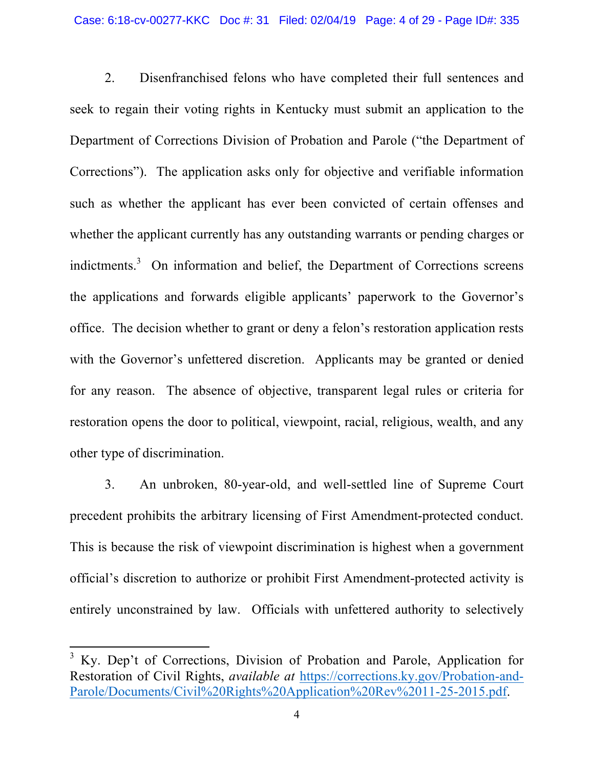2. Disenfranchised felons who have completed their full sentences and seek to regain their voting rights in Kentucky must submit an application to the Department of Corrections Division of Probation and Parole ("the Department of Corrections"). The application asks only for objective and verifiable information such as whether the applicant has ever been convicted of certain offenses and whether the applicant currently has any outstanding warrants or pending charges or indictments.<sup>3</sup> On information and belief, the Department of Corrections screens the applications and forwards eligible applicants' paperwork to the Governor's office. The decision whether to grant or deny a felon's restoration application rests with the Governor's unfettered discretion. Applicants may be granted or denied for any reason. The absence of objective, transparent legal rules or criteria for restoration opens the door to political, viewpoint, racial, religious, wealth, and any other type of discrimination.

3. An unbroken, 80-year-old, and well-settled line of Supreme Court precedent prohibits the arbitrary licensing of First Amendment-protected conduct. This is because the risk of viewpoint discrimination is highest when a government official's discretion to authorize or prohibit First Amendment-protected activity is entirely unconstrained by law. Officials with unfettered authority to selectively

<sup>3</sup> Ky. Dep't of Corrections, Division of Probation and Parole, Application for Restoration of Civil Rights, *available at* https://corrections.ky.gov/Probation-and-Parole/Documents/Civil%20Rights%20Application%20Rev%2011-25-2015.pdf.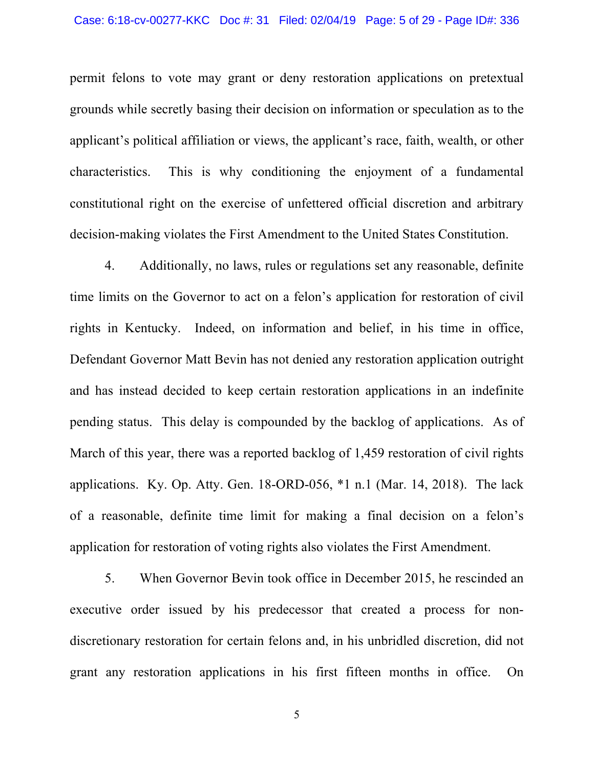#### Case: 6:18-cv-00277-KKC Doc #: 31 Filed: 02/04/19 Page: 5 of 29 - Page ID#: 336

permit felons to vote may grant or deny restoration applications on pretextual grounds while secretly basing their decision on information or speculation as to the applicant's political affiliation or views, the applicant's race, faith, wealth, or other characteristics. This is why conditioning the enjoyment of a fundamental constitutional right on the exercise of unfettered official discretion and arbitrary decision-making violates the First Amendment to the United States Constitution.

4. Additionally, no laws, rules or regulations set any reasonable, definite time limits on the Governor to act on a felon's application for restoration of civil rights in Kentucky. Indeed, on information and belief, in his time in office, Defendant Governor Matt Bevin has not denied any restoration application outright and has instead decided to keep certain restoration applications in an indefinite pending status. This delay is compounded by the backlog of applications. As of March of this year, there was a reported backlog of 1,459 restoration of civil rights applications. Ky. Op. Atty. Gen. 18-ORD-056, \*1 n.1 (Mar. 14, 2018). The lack of a reasonable, definite time limit for making a final decision on a felon's application for restoration of voting rights also violates the First Amendment.

5. When Governor Bevin took office in December 2015, he rescinded an executive order issued by his predecessor that created a process for nondiscretionary restoration for certain felons and, in his unbridled discretion, did not grant any restoration applications in his first fifteen months in office. On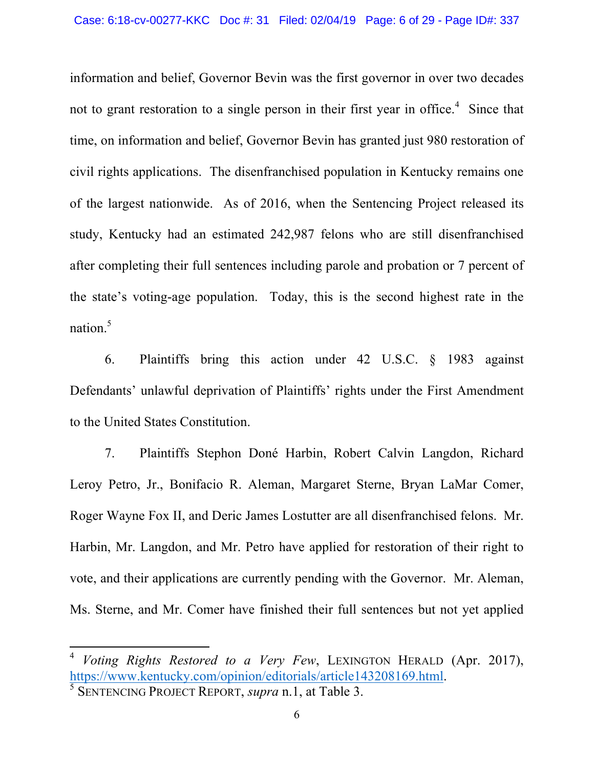information and belief, Governor Bevin was the first governor in over two decades not to grant restoration to a single person in their first year in office. $4$  Since that time, on information and belief, Governor Bevin has granted just 980 restoration of civil rights applications. The disenfranchised population in Kentucky remains one of the largest nationwide. As of 2016, when the Sentencing Project released its study, Kentucky had an estimated 242,987 felons who are still disenfranchised after completing their full sentences including parole and probation or 7 percent of the state's voting-age population. Today, this is the second highest rate in the nation. 5

6. Plaintiffs bring this action under 42 U.S.C. § 1983 against Defendants' unlawful deprivation of Plaintiffs' rights under the First Amendment to the United States Constitution.

7. Plaintiffs Stephon Doné Harbin, Robert Calvin Langdon, Richard Leroy Petro, Jr., Bonifacio R. Aleman, Margaret Sterne, Bryan LaMar Comer, Roger Wayne Fox II, and Deric James Lostutter are all disenfranchised felons. Mr. Harbin, Mr. Langdon, and Mr. Petro have applied for restoration of their right to vote, and their applications are currently pending with the Governor. Mr. Aleman, Ms. Sterne, and Mr. Comer have finished their full sentences but not yet applied

<sup>4</sup> *Voting Rights Restored to a Very Few*, LEXINGTON HERALD (Apr. 2017), https://www.kentucky.com/opinion/editorials/article143208169.html. <sup>5</sup> SENTENCING PROJECT REPORT, *supra* n.1, at Table 3.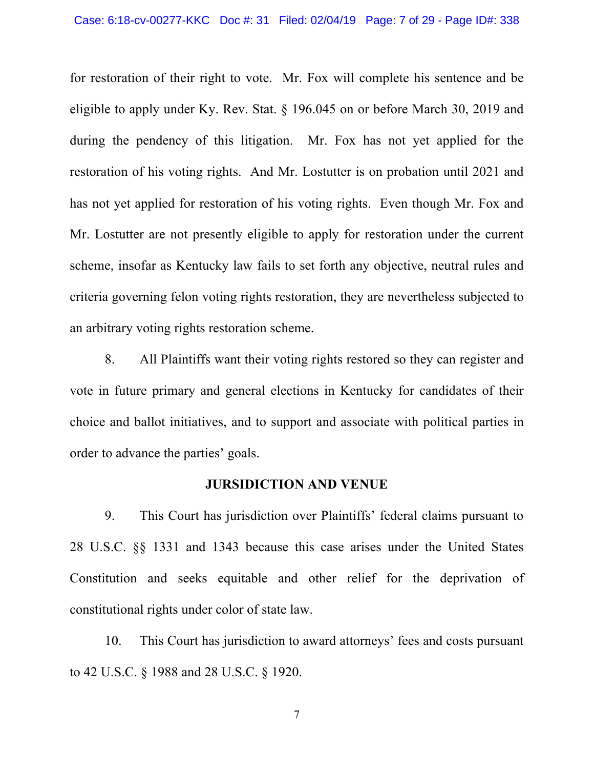for restoration of their right to vote. Mr. Fox will complete his sentence and be eligible to apply under Ky. Rev. Stat. § 196.045 on or before March 30, 2019 and during the pendency of this litigation. Mr. Fox has not yet applied for the restoration of his voting rights. And Mr. Lostutter is on probation until 2021 and has not yet applied for restoration of his voting rights. Even though Mr. Fox and Mr. Lostutter are not presently eligible to apply for restoration under the current scheme, insofar as Kentucky law fails to set forth any objective, neutral rules and criteria governing felon voting rights restoration, they are nevertheless subjected to an arbitrary voting rights restoration scheme.

8. All Plaintiffs want their voting rights restored so they can register and vote in future primary and general elections in Kentucky for candidates of their choice and ballot initiatives, and to support and associate with political parties in order to advance the parties' goals.

#### **JURSIDICTION AND VENUE**

9. This Court has jurisdiction over Plaintiffs' federal claims pursuant to 28 U.S.C. §§ 1331 and 1343 because this case arises under the United States Constitution and seeks equitable and other relief for the deprivation of constitutional rights under color of state law.

10. This Court has jurisdiction to award attorneys' fees and costs pursuant to 42 U.S.C. § 1988 and 28 U.S.C. § 1920.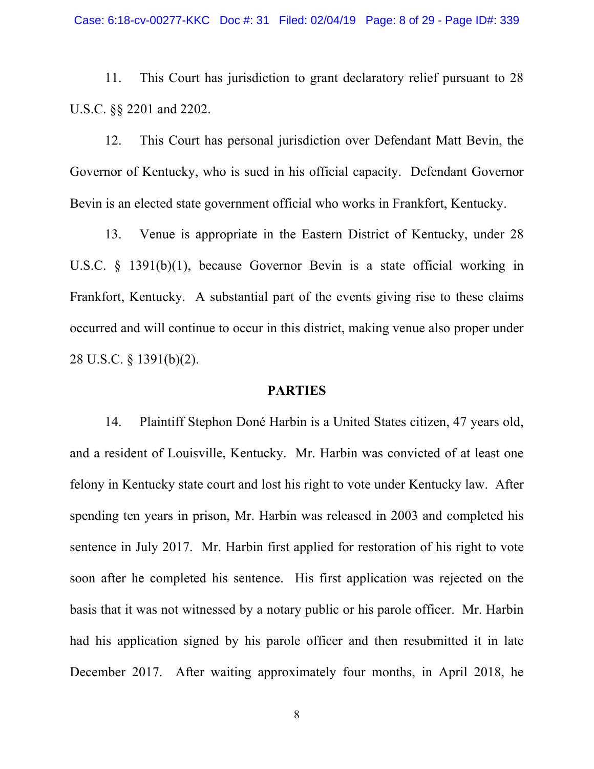11. This Court has jurisdiction to grant declaratory relief pursuant to 28 U.S.C. §§ 2201 and 2202.

12. This Court has personal jurisdiction over Defendant Matt Bevin, the Governor of Kentucky, who is sued in his official capacity. Defendant Governor Bevin is an elected state government official who works in Frankfort, Kentucky.

13. Venue is appropriate in the Eastern District of Kentucky, under 28 U.S.C. § 1391(b)(1), because Governor Bevin is a state official working in Frankfort, Kentucky. A substantial part of the events giving rise to these claims occurred and will continue to occur in this district, making venue also proper under 28 U.S.C. § 1391(b)(2).

#### **PARTIES**

14. Plaintiff Stephon Doné Harbin is a United States citizen, 47 years old, and a resident of Louisville, Kentucky. Mr. Harbin was convicted of at least one felony in Kentucky state court and lost his right to vote under Kentucky law. After spending ten years in prison, Mr. Harbin was released in 2003 and completed his sentence in July 2017. Mr. Harbin first applied for restoration of his right to vote soon after he completed his sentence. His first application was rejected on the basis that it was not witnessed by a notary public or his parole officer. Mr. Harbin had his application signed by his parole officer and then resubmitted it in late December 2017. After waiting approximately four months, in April 2018, he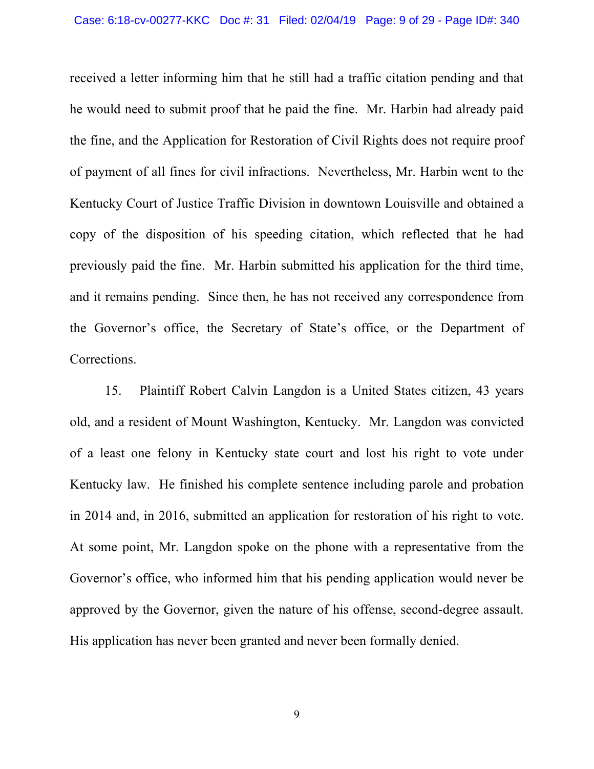received a letter informing him that he still had a traffic citation pending and that he would need to submit proof that he paid the fine. Mr. Harbin had already paid the fine, and the Application for Restoration of Civil Rights does not require proof of payment of all fines for civil infractions. Nevertheless, Mr. Harbin went to the Kentucky Court of Justice Traffic Division in downtown Louisville and obtained a copy of the disposition of his speeding citation, which reflected that he had previously paid the fine. Mr. Harbin submitted his application for the third time, and it remains pending. Since then, he has not received any correspondence from the Governor's office, the Secretary of State's office, or the Department of Corrections.

15. Plaintiff Robert Calvin Langdon is a United States citizen, 43 years old, and a resident of Mount Washington, Kentucky. Mr. Langdon was convicted of a least one felony in Kentucky state court and lost his right to vote under Kentucky law. He finished his complete sentence including parole and probation in 2014 and, in 2016, submitted an application for restoration of his right to vote. At some point, Mr. Langdon spoke on the phone with a representative from the Governor's office, who informed him that his pending application would never be approved by the Governor, given the nature of his offense, second-degree assault. His application has never been granted and never been formally denied.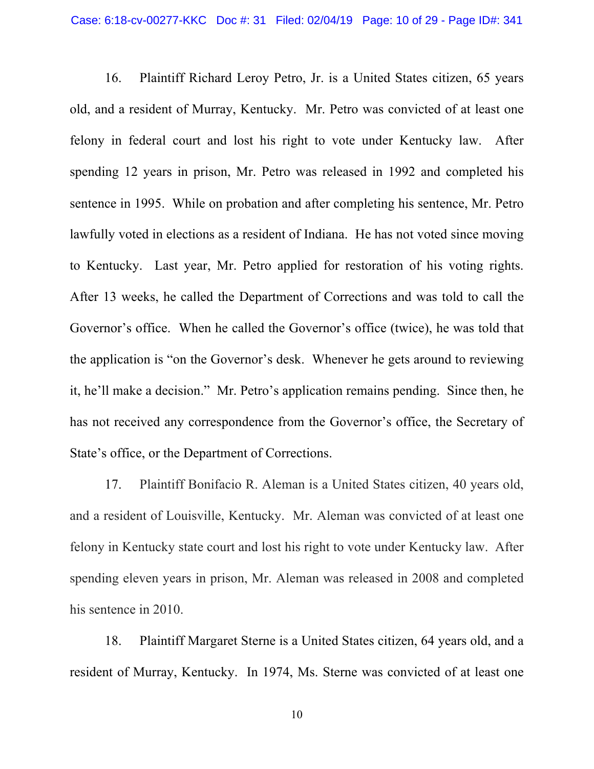16. Plaintiff Richard Leroy Petro, Jr. is a United States citizen, 65 years old, and a resident of Murray, Kentucky. Mr. Petro was convicted of at least one felony in federal court and lost his right to vote under Kentucky law. After spending 12 years in prison, Mr. Petro was released in 1992 and completed his sentence in 1995. While on probation and after completing his sentence, Mr. Petro lawfully voted in elections as a resident of Indiana. He has not voted since moving to Kentucky. Last year, Mr. Petro applied for restoration of his voting rights. After 13 weeks, he called the Department of Corrections and was told to call the Governor's office. When he called the Governor's office (twice), he was told that the application is "on the Governor's desk. Whenever he gets around to reviewing it, he'll make a decision." Mr. Petro's application remains pending. Since then, he has not received any correspondence from the Governor's office, the Secretary of State's office, or the Department of Corrections.

17. Plaintiff Bonifacio R. Aleman is a United States citizen, 40 years old, and a resident of Louisville, Kentucky. Mr. Aleman was convicted of at least one felony in Kentucky state court and lost his right to vote under Kentucky law. After spending eleven years in prison, Mr. Aleman was released in 2008 and completed his sentence in 2010.

18. Plaintiff Margaret Sterne is a United States citizen, 64 years old, and a resident of Murray, Kentucky. In 1974, Ms. Sterne was convicted of at least one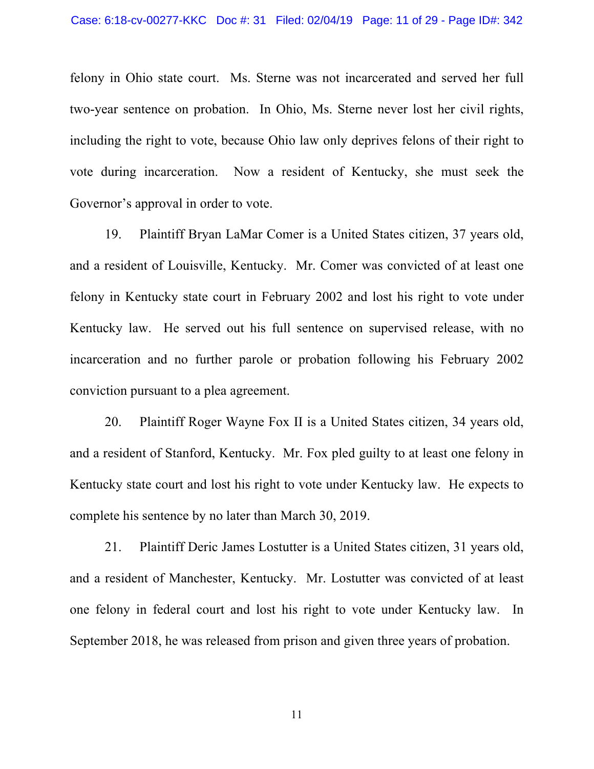felony in Ohio state court. Ms. Sterne was not incarcerated and served her full two-year sentence on probation. In Ohio, Ms. Sterne never lost her civil rights, including the right to vote, because Ohio law only deprives felons of their right to vote during incarceration. Now a resident of Kentucky, she must seek the Governor's approval in order to vote.

19. Plaintiff Bryan LaMar Comer is a United States citizen, 37 years old, and a resident of Louisville, Kentucky. Mr. Comer was convicted of at least one felony in Kentucky state court in February 2002 and lost his right to vote under Kentucky law. He served out his full sentence on supervised release, with no incarceration and no further parole or probation following his February 2002 conviction pursuant to a plea agreement.

20. Plaintiff Roger Wayne Fox II is a United States citizen, 34 years old, and a resident of Stanford, Kentucky. Mr. Fox pled guilty to at least one felony in Kentucky state court and lost his right to vote under Kentucky law. He expects to complete his sentence by no later than March 30, 2019.

21. Plaintiff Deric James Lostutter is a United States citizen, 31 years old, and a resident of Manchester, Kentucky. Mr. Lostutter was convicted of at least one felony in federal court and lost his right to vote under Kentucky law. In September 2018, he was released from prison and given three years of probation.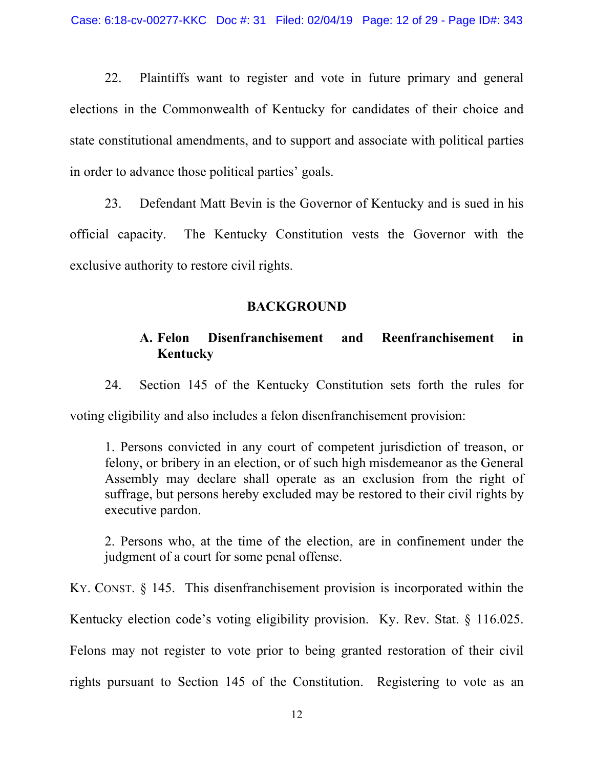22. Plaintiffs want to register and vote in future primary and general elections in the Commonwealth of Kentucky for candidates of their choice and state constitutional amendments, and to support and associate with political parties in order to advance those political parties' goals.

23. Defendant Matt Bevin is the Governor of Kentucky and is sued in his official capacity. The Kentucky Constitution vests the Governor with the exclusive authority to restore civil rights.

#### **BACKGROUND**

## **A. Felon Disenfranchisement and Reenfranchisement in Kentucky**

24. Section 145 of the Kentucky Constitution sets forth the rules for

voting eligibility and also includes a felon disenfranchisement provision:

1. Persons convicted in any court of competent jurisdiction of treason, or felony, or bribery in an election, or of such high misdemeanor as the General Assembly may declare shall operate as an exclusion from the right of suffrage, but persons hereby excluded may be restored to their civil rights by executive pardon.

2. Persons who, at the time of the election, are in confinement under the judgment of a court for some penal offense.

KY. CONST. § 145. This disenfranchisement provision is incorporated within the Kentucky election code's voting eligibility provision. Ky. Rev. Stat. § 116.025. Felons may not register to vote prior to being granted restoration of their civil rights pursuant to Section 145 of the Constitution. Registering to vote as an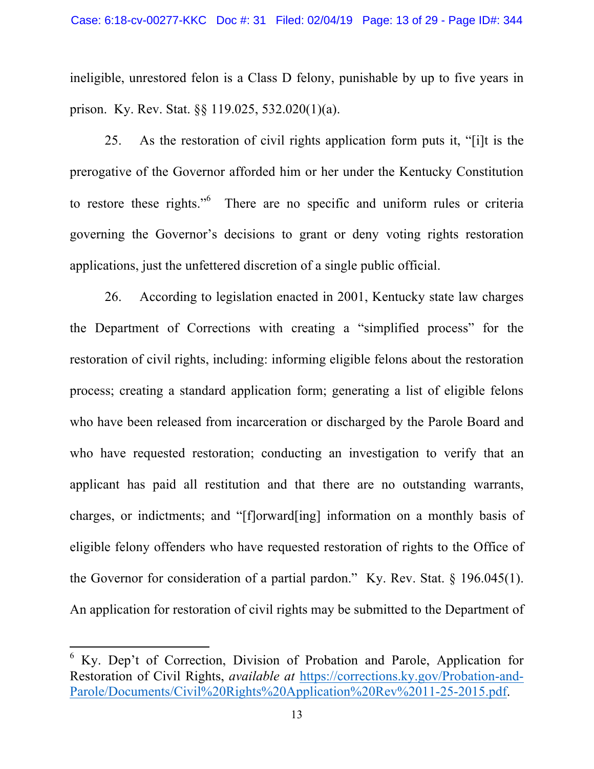ineligible, unrestored felon is a Class D felony, punishable by up to five years in prison. Ky. Rev. Stat. §§ 119.025, 532.020(1)(a).

25. As the restoration of civil rights application form puts it, "[i]t is the prerogative of the Governor afforded him or her under the Kentucky Constitution to restore these rights."<sup>6</sup> There are no specific and uniform rules or criteria governing the Governor's decisions to grant or deny voting rights restoration applications, just the unfettered discretion of a single public official.

26. According to legislation enacted in 2001, Kentucky state law charges the Department of Corrections with creating a "simplified process" for the restoration of civil rights, including: informing eligible felons about the restoration process; creating a standard application form; generating a list of eligible felons who have been released from incarceration or discharged by the Parole Board and who have requested restoration; conducting an investigation to verify that an applicant has paid all restitution and that there are no outstanding warrants, charges, or indictments; and "[f]orward[ing] information on a monthly basis of eligible felony offenders who have requested restoration of rights to the Office of the Governor for consideration of a partial pardon." Ky. Rev. Stat. § 196.045(1). An application for restoration of civil rights may be submitted to the Department of

<sup>6</sup> Ky. Dep't of Correction, Division of Probation and Parole, Application for Restoration of Civil Rights, *available at* https://corrections.ky.gov/Probation-and-Parole/Documents/Civil%20Rights%20Application%20Rev%2011-25-2015.pdf.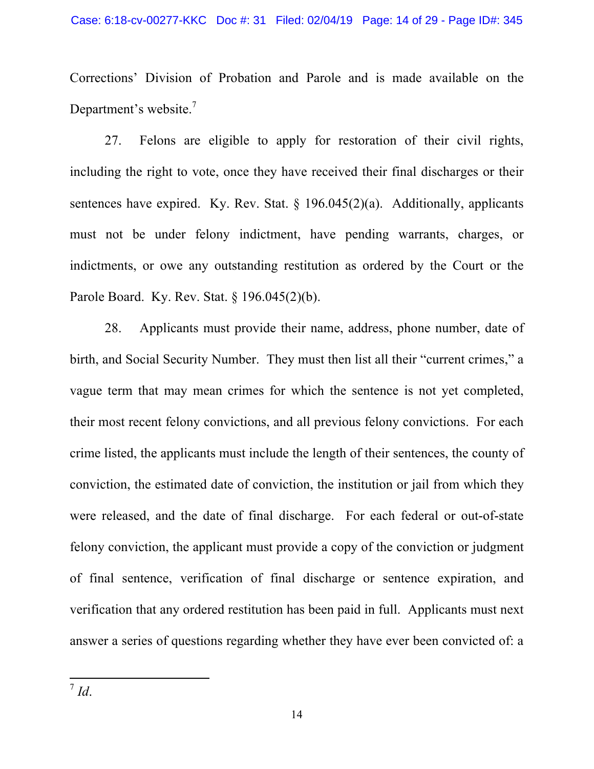Corrections' Division of Probation and Parole and is made available on the Department's website.<sup>7</sup>

27. Felons are eligible to apply for restoration of their civil rights, including the right to vote, once they have received their final discharges or their sentences have expired. Ky. Rev. Stat.  $\S$  196.045(2)(a). Additionally, applicants must not be under felony indictment, have pending warrants, charges, or indictments, or owe any outstanding restitution as ordered by the Court or the Parole Board. Ky. Rev. Stat. § 196.045(2)(b).

28. Applicants must provide their name, address, phone number, date of birth, and Social Security Number. They must then list all their "current crimes," a vague term that may mean crimes for which the sentence is not yet completed, their most recent felony convictions, and all previous felony convictions. For each crime listed, the applicants must include the length of their sentences, the county of conviction, the estimated date of conviction, the institution or jail from which they were released, and the date of final discharge. For each federal or out-of-state felony conviction, the applicant must provide a copy of the conviction or judgment of final sentence, verification of final discharge or sentence expiration, and verification that any ordered restitution has been paid in full. Applicants must next answer a series of questions regarding whether they have ever been convicted of: a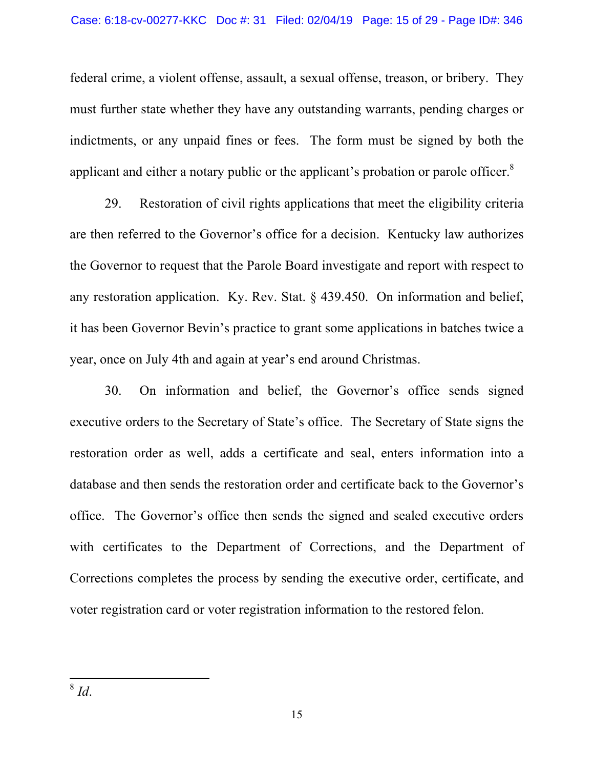federal crime, a violent offense, assault, a sexual offense, treason, or bribery. They must further state whether they have any outstanding warrants, pending charges or indictments, or any unpaid fines or fees. The form must be signed by both the applicant and either a notary public or the applicant's probation or parole officer. $8$ 

29. Restoration of civil rights applications that meet the eligibility criteria are then referred to the Governor's office for a decision. Kentucky law authorizes the Governor to request that the Parole Board investigate and report with respect to any restoration application. Ky. Rev. Stat. § 439.450. On information and belief, it has been Governor Bevin's practice to grant some applications in batches twice a year, once on July 4th and again at year's end around Christmas.

30. On information and belief, the Governor's office sends signed executive orders to the Secretary of State's office. The Secretary of State signs the restoration order as well, adds a certificate and seal, enters information into a database and then sends the restoration order and certificate back to the Governor's office. The Governor's office then sends the signed and sealed executive orders with certificates to the Department of Corrections, and the Department of Corrections completes the process by sending the executive order, certificate, and voter registration card or voter registration information to the restored felon.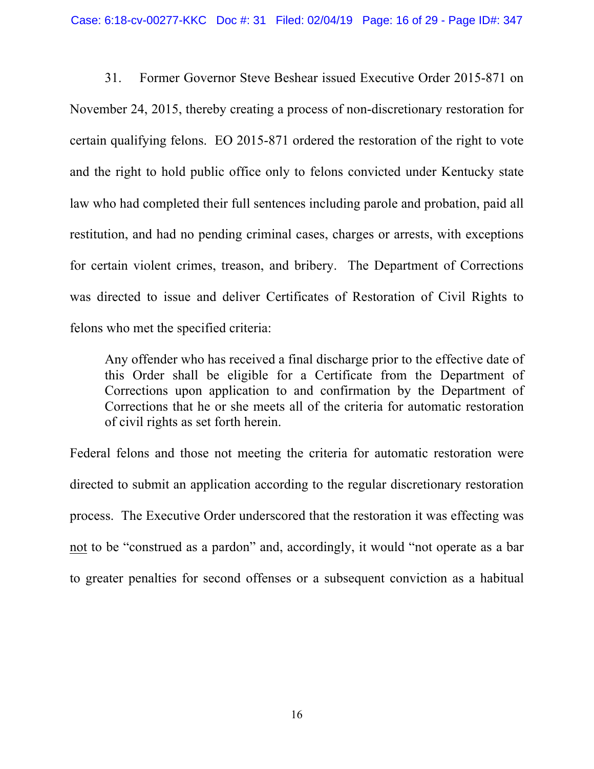31. Former Governor Steve Beshear issued Executive Order 2015-871 on November 24, 2015, thereby creating a process of non-discretionary restoration for certain qualifying felons. EO 2015-871 ordered the restoration of the right to vote and the right to hold public office only to felons convicted under Kentucky state law who had completed their full sentences including parole and probation, paid all restitution, and had no pending criminal cases, charges or arrests, with exceptions for certain violent crimes, treason, and bribery. The Department of Corrections was directed to issue and deliver Certificates of Restoration of Civil Rights to felons who met the specified criteria:

Any offender who has received a final discharge prior to the effective date of this Order shall be eligible for a Certificate from the Department of Corrections upon application to and confirmation by the Department of Corrections that he or she meets all of the criteria for automatic restoration of civil rights as set forth herein.

Federal felons and those not meeting the criteria for automatic restoration were directed to submit an application according to the regular discretionary restoration process. The Executive Order underscored that the restoration it was effecting was not to be "construed as a pardon" and, accordingly, it would "not operate as a bar to greater penalties for second offenses or a subsequent conviction as a habitual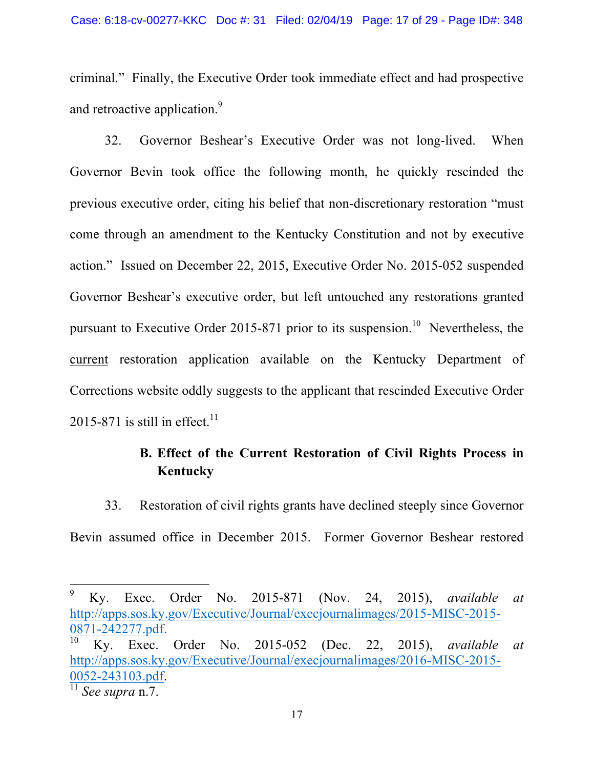criminal." Finally, the Executive Order took immediate effect and had prospective and retroactive application.<sup>9</sup>

32. Governor Beshear's Executive Order was not long-lived. When Governor Bevin took office the following month, he quickly rescinded the previous executive order, citing his belief that non-discretionary restoration "must come through an amendment to the Kentucky Constitution and not by executive action." Issued on December 22, 2015, Executive Order No. 2015-052 suspended Governor Beshear's executive order, but left untouched any restorations granted pursuant to Executive Order 2015-871 prior to its suspension.<sup>10</sup> Nevertheless, the current restoration application available on the Kentucky Department of Corrections website oddly suggests to the applicant that rescinded Executive Order 2015-871 is still in effect.<sup>11</sup>

# **B. Effect of the Current Restoration of Civil Rights Process in Kentucky**

33. Restoration of civil rights grants have declined steeply since Governor Bevin assumed office in December 2015. Former Governor Beshear restored

 <sup>9</sup> Ky. Exec. Order No. 2015-871 (Nov. 24, 2015), *available at*  http://apps.sos.ky.gov/Executive/Journal/execjournalimages/2015-MISC-2015- 0871-242277.pdf. 10 Ky. Exec. Order No. 2015-052 (Dec. 22, 2015), *available at*  http://apps.sos.ky.gov/Executive/Journal/execjournalimages/2016-MISC-2015- 0052-243103.pdf. 11 *See supra* n.7.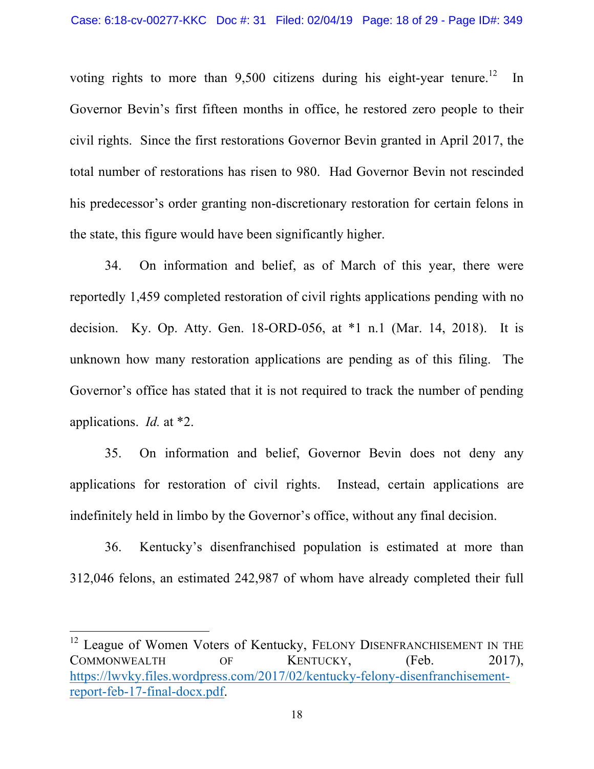voting rights to more than  $9,500$  citizens during his eight-year tenure.<sup>12</sup> In Governor Bevin's first fifteen months in office, he restored zero people to their civil rights. Since the first restorations Governor Bevin granted in April 2017, the total number of restorations has risen to 980. Had Governor Bevin not rescinded his predecessor's order granting non-discretionary restoration for certain felons in the state, this figure would have been significantly higher.

34. On information and belief, as of March of this year, there were reportedly 1,459 completed restoration of civil rights applications pending with no decision. Ky. Op. Atty. Gen. 18-ORD-056, at \*1 n.1 (Mar. 14, 2018). It is unknown how many restoration applications are pending as of this filing. The Governor's office has stated that it is not required to track the number of pending applications. *Id.* at \*2.

35. On information and belief, Governor Bevin does not deny any applications for restoration of civil rights. Instead, certain applications are indefinitely held in limbo by the Governor's office, without any final decision.

36. Kentucky's disenfranchised population is estimated at more than 312,046 felons, an estimated 242,987 of whom have already completed their full

<sup>&</sup>lt;sup>12</sup> League of Women Voters of Kentucky, FELONY DISENFRANCHISEMENT IN THE COMMONWEALTH OF KENTUCKY, (Feb. 2017), https://lwvky.files.wordpress.com/2017/02/kentucky-felony-disenfranchisementreport-feb-17-final-docx.pdf.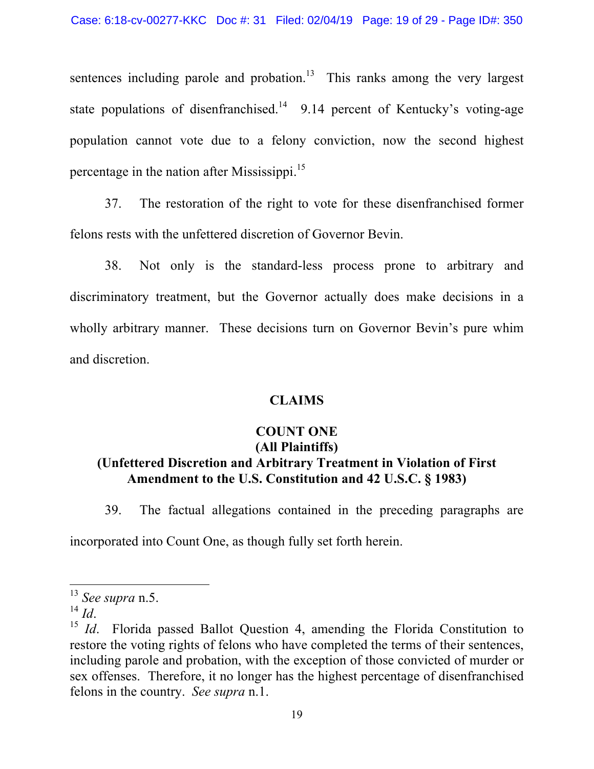sentences including parole and probation.<sup>13</sup> This ranks among the very largest state populations of disenfranchised.<sup>14</sup> 9.14 percent of Kentucky's voting-age population cannot vote due to a felony conviction, now the second highest percentage in the nation after Mississippi. 15

37. The restoration of the right to vote for these disenfranchised former felons rests with the unfettered discretion of Governor Bevin.

38. Not only is the standard-less process prone to arbitrary and discriminatory treatment, but the Governor actually does make decisions in a wholly arbitrary manner. These decisions turn on Governor Bevin's pure whim and discretion.

#### **CLAIMS**

## **COUNT ONE (All Plaintiffs) (Unfettered Discretion and Arbitrary Treatment in Violation of First Amendment to the U.S. Constitution and 42 U.S.C. § 1983)**

39. The factual allegations contained in the preceding paragraphs are incorporated into Count One, as though fully set forth herein.

 <sup>13</sup> *See supra* n.5.

<sup>&</sup>lt;sup>15</sup> *Id*. Florida passed Ballot Question 4, amending the Florida Constitution to restore the voting rights of felons who have completed the terms of their sentences, including parole and probation, with the exception of those convicted of murder or sex offenses. Therefore, it no longer has the highest percentage of disenfranchised felons in the country. *See supra* n.1.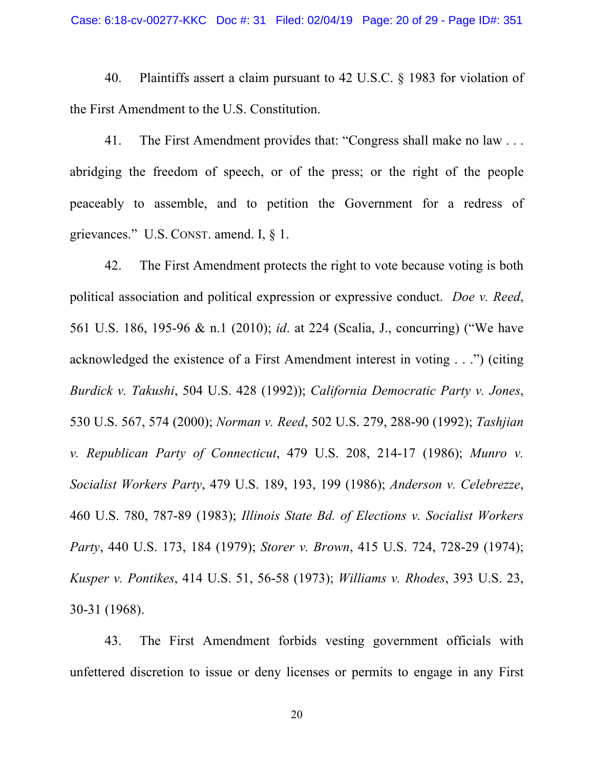40. Plaintiffs assert a claim pursuant to 42 U.S.C. § 1983 for violation of the First Amendment to the U.S. Constitution.

41. The First Amendment provides that: "Congress shall make no law . . . abridging the freedom of speech, or of the press; or the right of the people peaceably to assemble, and to petition the Government for a redress of grievances." U.S. CONST. amend. I, § 1.

42. The First Amendment protects the right to vote because voting is both political association and political expression or expressive conduct. *Doe v. Reed*, 561 U.S. 186, 195-96 & n.1 (2010); *id*. at 224 (Scalia, J., concurring) ("We have acknowledged the existence of a First Amendment interest in voting . . .") (citing *Burdick v. Takushi*, 504 U.S. 428 (1992)); *California Democratic Party v. Jones*, 530 U.S. 567, 574 (2000); *Norman v. Reed*, 502 U.S. 279, 288-90 (1992); *Tashjian v. Republican Party of Connecticut*, 479 U.S. 208, 214-17 (1986); *Munro v. Socialist Workers Party*, 479 U.S. 189, 193, 199 (1986); *Anderson v. Celebrezze*, 460 U.S. 780, 787-89 (1983); *Illinois State Bd. of Elections v. Socialist Workers Party*, 440 U.S. 173, 184 (1979); *Storer v. Brown*, 415 U.S. 724, 728-29 (1974); *Kusper v. Pontikes*, 414 U.S. 51, 56-58 (1973); *Williams v. Rhodes*, 393 U.S. 23, 30-31 (1968).

43. The First Amendment forbids vesting government officials with unfettered discretion to issue or deny licenses or permits to engage in any First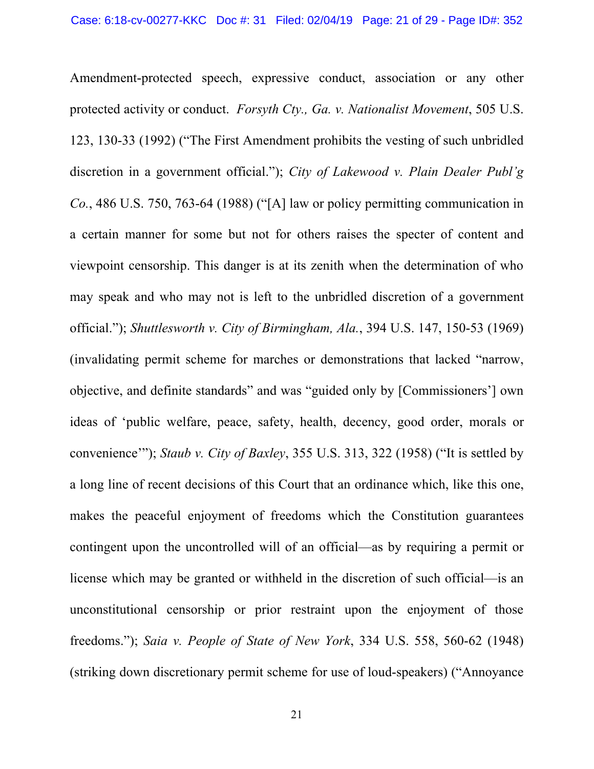Amendment-protected speech, expressive conduct, association or any other protected activity or conduct. *Forsyth Cty., Ga. v. Nationalist Movement*, 505 U.S. 123, 130-33 (1992) ("The First Amendment prohibits the vesting of such unbridled discretion in a government official."); *City of Lakewood v. Plain Dealer Publ'g Co.*, 486 U.S. 750, 763-64 (1988) ("[A] law or policy permitting communication in a certain manner for some but not for others raises the specter of content and viewpoint censorship. This danger is at its zenith when the determination of who may speak and who may not is left to the unbridled discretion of a government official."); *Shuttlesworth v. City of Birmingham, Ala.*, 394 U.S. 147, 150-53 (1969) (invalidating permit scheme for marches or demonstrations that lacked "narrow, objective, and definite standards" and was "guided only by [Commissioners'] own ideas of 'public welfare, peace, safety, health, decency, good order, morals or convenience'"); *Staub v. City of Baxley*, 355 U.S. 313, 322 (1958) ("It is settled by a long line of recent decisions of this Court that an ordinance which, like this one, makes the peaceful enjoyment of freedoms which the Constitution guarantees contingent upon the uncontrolled will of an official—as by requiring a permit or license which may be granted or withheld in the discretion of such official—is an unconstitutional censorship or prior restraint upon the enjoyment of those freedoms."); *Saia v. People of State of New York*, 334 U.S. 558, 560-62 (1948) (striking down discretionary permit scheme for use of loud-speakers) ("Annoyance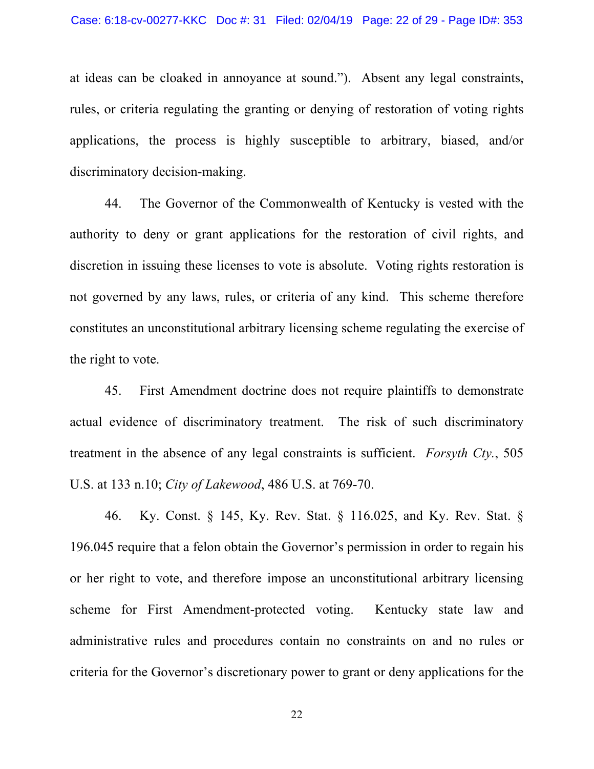at ideas can be cloaked in annoyance at sound."). Absent any legal constraints, rules, or criteria regulating the granting or denying of restoration of voting rights applications, the process is highly susceptible to arbitrary, biased, and/or discriminatory decision-making.

44. The Governor of the Commonwealth of Kentucky is vested with the authority to deny or grant applications for the restoration of civil rights, and discretion in issuing these licenses to vote is absolute. Voting rights restoration is not governed by any laws, rules, or criteria of any kind. This scheme therefore constitutes an unconstitutional arbitrary licensing scheme regulating the exercise of the right to vote.

45. First Amendment doctrine does not require plaintiffs to demonstrate actual evidence of discriminatory treatment. The risk of such discriminatory treatment in the absence of any legal constraints is sufficient. *Forsyth Cty.*, 505 U.S. at 133 n.10; *City of Lakewood*, 486 U.S. at 769-70.

46. Ky. Const. § 145, Ky. Rev. Stat. § 116.025, and Ky. Rev. Stat. § 196.045 require that a felon obtain the Governor's permission in order to regain his or her right to vote, and therefore impose an unconstitutional arbitrary licensing scheme for First Amendment-protected voting. Kentucky state law and administrative rules and procedures contain no constraints on and no rules or criteria for the Governor's discretionary power to grant or deny applications for the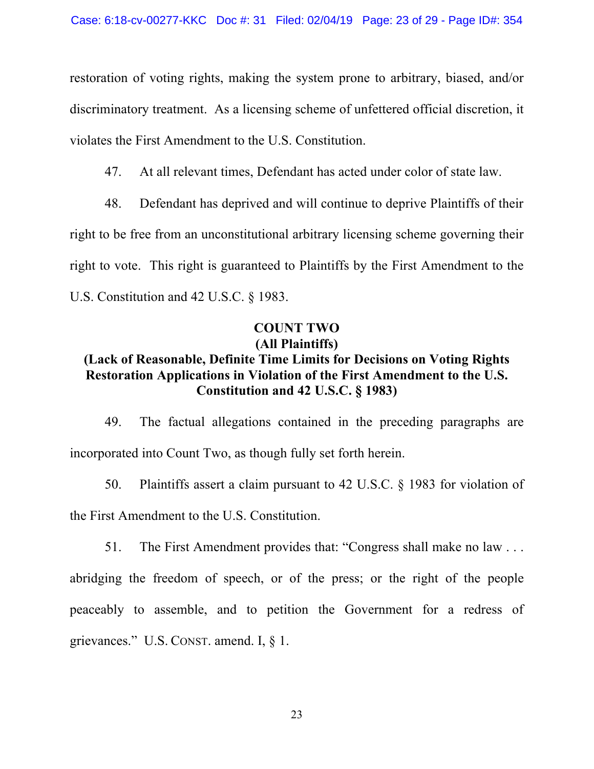restoration of voting rights, making the system prone to arbitrary, biased, and/or discriminatory treatment. As a licensing scheme of unfettered official discretion, it violates the First Amendment to the U.S. Constitution.

47. At all relevant times, Defendant has acted under color of state law.

48. Defendant has deprived and will continue to deprive Plaintiffs of their right to be free from an unconstitutional arbitrary licensing scheme governing their right to vote. This right is guaranteed to Plaintiffs by the First Amendment to the U.S. Constitution and 42 U.S.C. § 1983.

## **COUNT TWO (All Plaintiffs)**

## **(Lack of Reasonable, Definite Time Limits for Decisions on Voting Rights Restoration Applications in Violation of the First Amendment to the U.S. Constitution and 42 U.S.C. § 1983)**

49. The factual allegations contained in the preceding paragraphs are incorporated into Count Two, as though fully set forth herein.

50. Plaintiffs assert a claim pursuant to 42 U.S.C. § 1983 for violation of the First Amendment to the U.S. Constitution.

51. The First Amendment provides that: "Congress shall make no law . . .

abridging the freedom of speech, or of the press; or the right of the people peaceably to assemble, and to petition the Government for a redress of grievances." U.S. CONST. amend. I, § 1.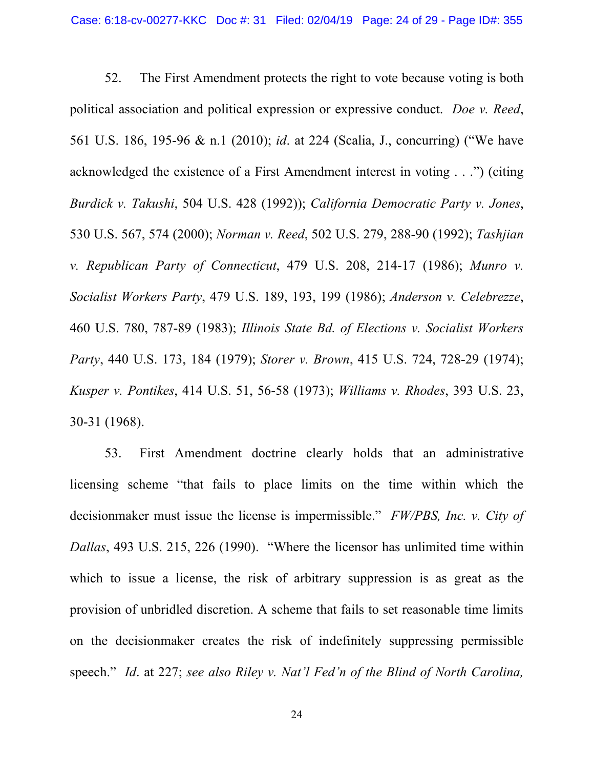52. The First Amendment protects the right to vote because voting is both political association and political expression or expressive conduct. *Doe v. Reed*, 561 U.S. 186, 195-96 & n.1 (2010); *id*. at 224 (Scalia, J., concurring) ("We have acknowledged the existence of a First Amendment interest in voting . . .") (citing *Burdick v. Takushi*, 504 U.S. 428 (1992)); *California Democratic Party v. Jones*, 530 U.S. 567, 574 (2000); *Norman v. Reed*, 502 U.S. 279, 288-90 (1992); *Tashjian v. Republican Party of Connecticut*, 479 U.S. 208, 214-17 (1986); *Munro v. Socialist Workers Party*, 479 U.S. 189, 193, 199 (1986); *Anderson v. Celebrezze*, 460 U.S. 780, 787-89 (1983); *Illinois State Bd. of Elections v. Socialist Workers Party*, 440 U.S. 173, 184 (1979); *Storer v. Brown*, 415 U.S. 724, 728-29 (1974); *Kusper v. Pontikes*, 414 U.S. 51, 56-58 (1973); *Williams v. Rhodes*, 393 U.S. 23, 30-31 (1968).

53. First Amendment doctrine clearly holds that an administrative licensing scheme "that fails to place limits on the time within which the decisionmaker must issue the license is impermissible." *FW/PBS, Inc. v. City of Dallas*, 493 U.S. 215, 226 (1990). "Where the licensor has unlimited time within which to issue a license, the risk of arbitrary suppression is as great as the provision of unbridled discretion. A scheme that fails to set reasonable time limits on the decisionmaker creates the risk of indefinitely suppressing permissible speech." *Id*. at 227; *see also Riley v. Nat'l Fed'n of the Blind of North Carolina,*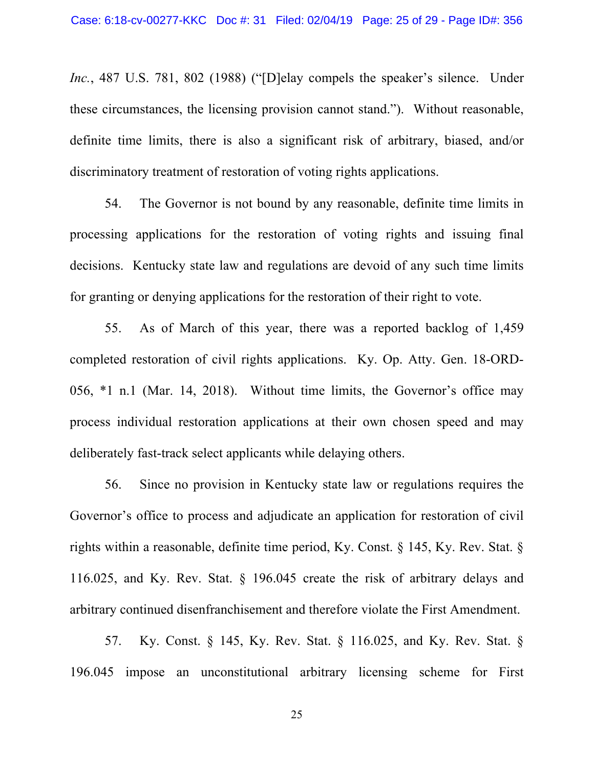*Inc.*, 487 U.S. 781, 802 (1988) ("[D]elay compels the speaker's silence. Under these circumstances, the licensing provision cannot stand."). Without reasonable, definite time limits, there is also a significant risk of arbitrary, biased, and/or discriminatory treatment of restoration of voting rights applications.

54. The Governor is not bound by any reasonable, definite time limits in processing applications for the restoration of voting rights and issuing final decisions. Kentucky state law and regulations are devoid of any such time limits for granting or denying applications for the restoration of their right to vote.

55. As of March of this year, there was a reported backlog of 1,459 completed restoration of civil rights applications. Ky. Op. Atty. Gen. 18-ORD-056, \*1 n.1 (Mar. 14, 2018). Without time limits, the Governor's office may process individual restoration applications at their own chosen speed and may deliberately fast-track select applicants while delaying others.

56. Since no provision in Kentucky state law or regulations requires the Governor's office to process and adjudicate an application for restoration of civil rights within a reasonable, definite time period, Ky. Const. § 145, Ky. Rev. Stat. § 116.025, and Ky. Rev. Stat. § 196.045 create the risk of arbitrary delays and arbitrary continued disenfranchisement and therefore violate the First Amendment.

57. Ky. Const. § 145, Ky. Rev. Stat. § 116.025, and Ky. Rev. Stat. § 196.045 impose an unconstitutional arbitrary licensing scheme for First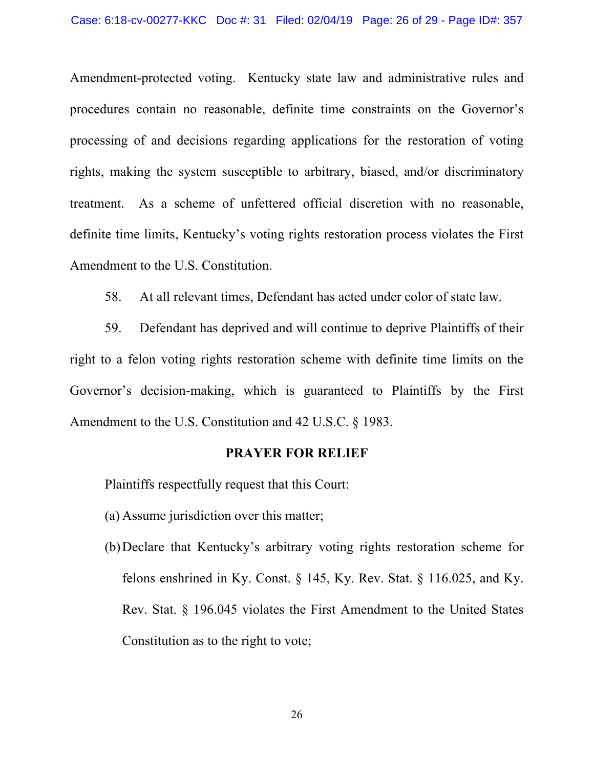Amendment-protected voting. Kentucky state law and administrative rules and procedures contain no reasonable, definite time constraints on the Governor's processing of and decisions regarding applications for the restoration of voting rights, making the system susceptible to arbitrary, biased, and/or discriminatory treatment. As a scheme of unfettered official discretion with no reasonable, definite time limits, Kentucky's voting rights restoration process violates the First Amendment to the U.S. Constitution.

58. At all relevant times, Defendant has acted under color of state law.

59. Defendant has deprived and will continue to deprive Plaintiffs of their right to a felon voting rights restoration scheme with definite time limits on the Governor's decision-making, which is guaranteed to Plaintiffs by the First Amendment to the U.S. Constitution and 42 U.S.C. § 1983.

#### **PRAYER FOR RELIEF**

Plaintiffs respectfully request that this Court:

- (a) Assume jurisdiction over this matter;
- (b)Declare that Kentucky's arbitrary voting rights restoration scheme for felons enshrined in Ky. Const. § 145, Ky. Rev. Stat. § 116.025, and Ky. Rev. Stat. § 196.045 violates the First Amendment to the United States Constitution as to the right to vote;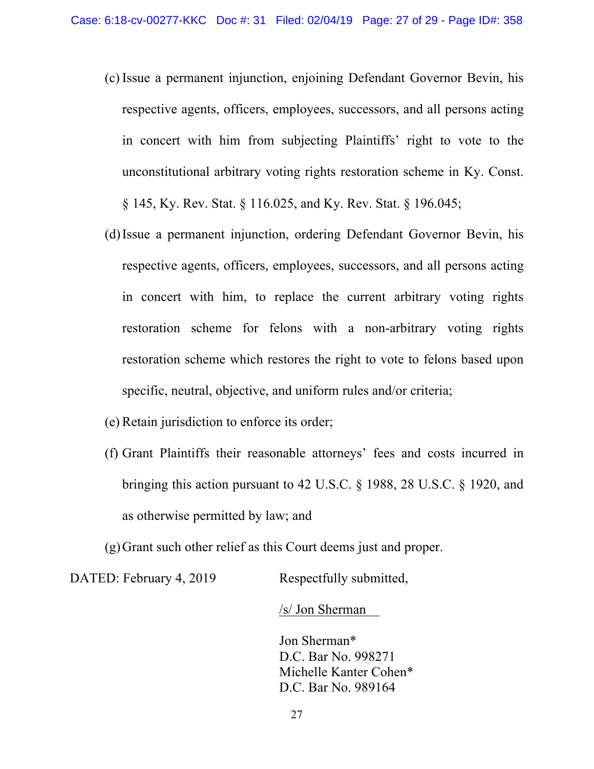- (c) Issue a permanent injunction, enjoining Defendant Governor Bevin, his respective agents, officers, employees, successors, and all persons acting in concert with him from subjecting Plaintiffs' right to vote to the unconstitutional arbitrary voting rights restoration scheme in Ky. Const. § 145, Ky. Rev. Stat. § 116.025, and Ky. Rev. Stat. § 196.045;
- (d)Issue a permanent injunction, ordering Defendant Governor Bevin, his respective agents, officers, employees, successors, and all persons acting in concert with him, to replace the current arbitrary voting rights restoration scheme for felons with a non-arbitrary voting rights restoration scheme which restores the right to vote to felons based upon specific, neutral, objective, and uniform rules and/or criteria;
- (e) Retain jurisdiction to enforce its order;
- (f) Grant Plaintiffs their reasonable attorneys' fees and costs incurred in bringing this action pursuant to 42 U.S.C. § 1988, 28 U.S.C. § 1920, and as otherwise permitted by law; and

(g)Grant such other relief as this Court deems just and proper.

DATED: February 4, 2019 Respectfully submitted,

/s/ Jon Sherman

Jon Sherman\* D.C. Bar No. 998271 Michelle Kanter Cohen\* D.C. Bar No. 989164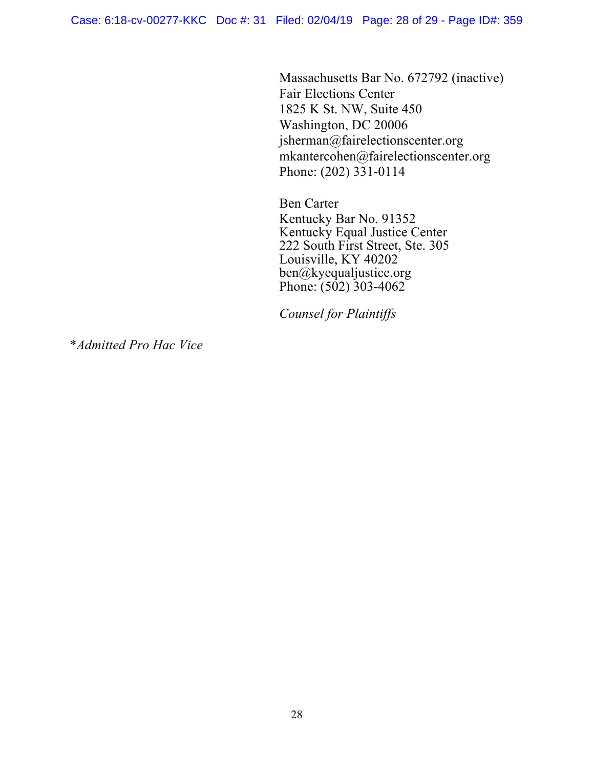Massachusetts Bar No. 672792 (inactive) Fair Elections Center 1825 K St. NW, Suite 450 Washington, DC 20006 jsherman@fairelectionscenter.org mkantercohen@fairelectionscenter.org Phone: (202) 331-0114

Ben Carter Kentucky Bar No. 91352 Kentucky Equal Justice Center 222 South First Street, Ste. 305 Louisville, KY 40202 ben@kyequaljustice.org Phone:  $(502)$  303-4062

*Counsel for Plaintiffs*

\**Admitted Pro Hac Vice*